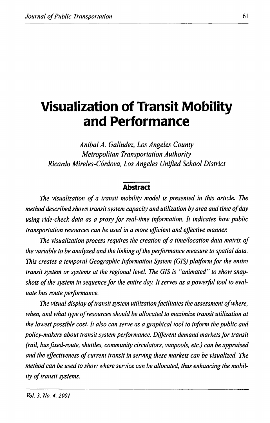# **Visualization of Transit Mobility and Performance**

*Anibal A. Galindez, Los Angeles County Metropolitan Transportation Authority Ricardo Mireles-Cordova, Los Angeles Unified School District* 

## **Abstract**

*The visualization of a transit mobility model is presented in this article. The method described shows transit system capacity and utilization by area and time of day using ride-check data as a proxy for real-time information. It indicates how public transportation resources can be used in a more efficient and effective manner.* 

*The visualization process requires the creation of a time/location data matrix of the variable to be analyzed and the linking of the performance measure to spatial data. This creates a temporal Geographic Information System (GIS) platform for the entire transit system or systems at the regional level. The GIS is "animated" to show snapshots of the system in sequence for the entire day. It serves as a powerful tool to evaluate bus route performance.* 

*The visual display of transit system utilization facilitates the assessment of where, when, and what type of resources should be allocated to maximize transit utilization at the lowest possible cost. It also can serve as a graphical tool to inform the public and*  policy-makers about transit system performance. Different demand markets for transit *(rail, bus fixed-route, shuttles, community circulators, vanpools, etc.) can be appraised and the effectiveness of current transit in serving these markets can be visualized. The method can be used to show where service can be allocated, thus enhancing the mobility of transit systems.*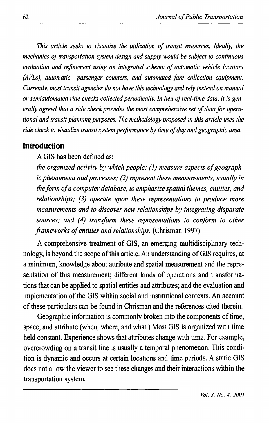*This article seeks to visualize the utilization of transit resources. Ideally, the mechanics of transportation system design and supply would be subject to continuous evaluation and refinement using an integrated scheme of automatic vehicle locators (AVLs), automatic passenger counters, and automated fare collection equipment. Currently, most transit agencies do not have this technology and rely instead on manual or semiautomated ride checks collected periodically. In lieu of real-time data, it is generally agreed that a ride check provides the most comprehensive set of data for operational and transit planning purposes. The methodology proposed in this article uses the ride check to visualize transit system performance by time of day and geographic area.* 

#### **Introduction**

A GIS has been defined as:

*the organized activity by which people: (]) measure aspects of geographic phenomena and processes; (2) represent these measurements, usually in the form of a computer database, to emphasize spatial themes, entities, and relationships; (3) operate upon these representations to produce more measurements and to discover new relationships by integrating disparate sources; and (4) transform these representations to conform to other frameworks of entities and relationships.* (Chrisman 1997)

A comprehensive treatment of GIS, an emerging multidisciplinary technology, is beyond the scope of this article. An understanding of GIS requires, at a minimum, knowledge about attribute and spatial measurement and the representation of this measurement; different kinds of operations and transformations that can be applied to spatial entities and attributes; and the evaluation and implementation of the GIS within social and institutional contexts. An account of these particulars can be found in Chrisman and the references cited therein.

Geographic information is commonly broken into the components of time, space, and attribute ( when, where, and what.) Most GIS is organized with time held constant. Experience shows that attributes change with time. For example, overcrowding on a transit line is usually a temporal phenomenon. This condition is dynamic and occurs at certain locations and time periods. A static GIS does not allow the viewer to see these changes and their interactions within the transportation system.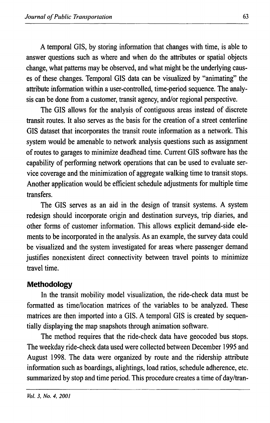A temporal GIS, by storing information that changes with time, is able to answer questions such as where and when do the attributes or spatial objects change, what patterns may be observed, and what might be the underlying causes of these changes. Temporal GIS data can be visualized by "animating" the attribute information within a user-controlled, time-period sequence. The analysis can be done from a customer, transit agency, and/or regional perspective.

The GIS allows for the analysis of contiguous areas instead of discrete transit routes. It also serves as the basis for the creation of a street centerline GIS dataset that incorporates the transit route information as a network. This system would be amenable to network analysis questions such as assignment of routes to garages to minimize deadhead time. Current GIS software has the capability of performing network operations that can be used to evaluate service coverage and the minimization of aggregate walking time to transit stops. Another application would be efficient schedule adjustments for multiple time transfers.

The GIS serves as an aid in the design of transit systems. A system redesign should incorporate origin and destination surveys, trip diaries, and other forms of customer information. This allows explicit demand-side elements to be incorporated in the analysis. As an example, the survey data could be visualized and the system investigated for areas where passenger demand justifies nonexistent direct connectivity between travel points to minimize travel time.

# **Methodology**

In the transit mobility model visualization, the ride-check data must be formatted as time/location matrices of the variables to be analyzed. These matrices are then imported into a GIS. A temporal GIS is created by sequentially displaying the map snapshots through animation software.

The method requires that the ride-check data have geocoded bus stops. The weekday ride-check data used were collected between December 1995 and August 1998. The data were organized by route and the ridership attribute information such as boardings, alightings, load ratios, schedule adherence, etc. summarized by stop and time period. This procedure creates a time of day/tran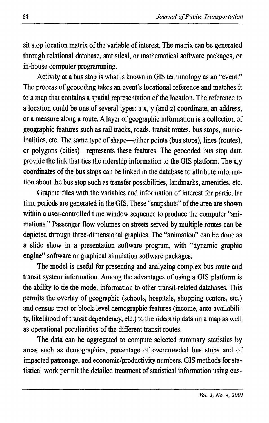sit stop location matrix of the variable of interest. The matrix can be generated through relational database, statistical, or mathematical software packages, or in-house computer programming.

Activity at a bus stop is what is known in GIS terminology as an "event." The process of geocoding takes an event's locational reference and matches it to a map that contains a spatial representation of the location. The reference to a location could be one of several types: ax, y (and z) coordinate, an address, or a measure along a route. A layer of geographic information is a collection of geographic features such as rail tracks, roads, transit routes, bus stops, municipalities, etc. The same type of shape—either points (bus stops), lines (routes), or polygons (cities)-represents these features. The geocoded bus stop data provide the link that ties the ridership information to the GIS platform. The x,y coordinates of the bus stops can be linked in the database to attribute information about the bus stop such as transfer possibilities, landmarks, amenities, etc.

Graphic files with the variables and information of interest for particular time periods are generated in the GIS. These "snapshots" of the area are shown within a user-controlled time window sequence to produce the computer "animations." Passenger flow volumes on streets served by multiple routes can be depicted through three-dimensional graphics. The "animation" can be done as a slide show in a presentation software program, with "dynamic graphic engine" software or graphical simulation software packages.

The model is useful for presenting and analyzing complex bus route and transit system information. Among the advantages of using a GIS platform is the ability to tie the model information to other transit-related databases. This permits the overlay of geographic (schools, hospitals, shopping centers, etc.) and census-tract or block-level demographic features (income, auto availability, likelihood of transit dependency, etc.) to the ridership data on a map as well as operational peculiarities of the different transit routes.

The data can be aggregated to compute selected summary statistics by areas such as demographics, percentage of overcrowded bus stops and of impacted patronage, and economic/productivity numbers. GIS methods for statistical work permit the detailed treatment of statistical information using cus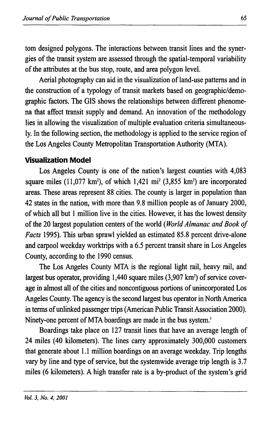tom designed polygons. The interactions between transit lines and the synergies of the transit system are assessed through the spatial-temporal variability of the attributes at the bus stop, route, and area polygon level.

Aerial photography can aid in the visualization of land-use patterns and in the construction of a typology of transit markets based on geographic/demographic factors. The GIS shows the relationships between different phenomena that affect transit supply and demand. An innovation of the methodology lies in allowing the visualization of multiple evaluation criteria simultaneously. In the following section, the methodology is applied to the service region of the Los Angeles County Metropolitan Transportation Authority (MTA).

# **Visualization Model**

Los Angeles County is one of the nation's largest counties with 4,083 square miles  $(11,077 \text{ km}^2)$ , of which  $1,421 \text{ mi}^2$   $(3,855 \text{ km}^2)$  are incorporated areas. These areas represent 88 cities. The county is larger in population than 42 states in the nation, with more than 9.8 million people as of January 2000, of which all but 1 million live in the cities. However, it has the lowest density of the 20 largest population centers of the world ( *World Almanac and Book of Facts* 1995). This urban sprawl yielded an estimated 85.8 percent drive-alone and carpool weekday worktrips with a 6.5 percent transit share in Los Angeles County, according to the 1990 census.

The Los Angeles County MTA is the regional light rail, heavy rail, and largest bus operator, providing 1,440 square miles (3,907 km<sup>2</sup>) of service coverage in almost all of the cities and noncontiguous portions of unincorporated Los Angeles County. The agency is the second largest bus operator in North America in terms of unlinked passenger trips (American Public Transit Association 2000). Ninety-one percent of MTA boardings are made in the bus system.'

Boardings take place on 127 transit lines that have an average length of 24 miles ( 40 kilometers). The lines carry approximately 300,000 customers that generate about 1.1 million boardings on an average weekday. Trip lengths vary by line and type of service, but the systemwide average trip length is 3.7 miles (6 kilometers). A high transfer rate is a by-product of the system's grid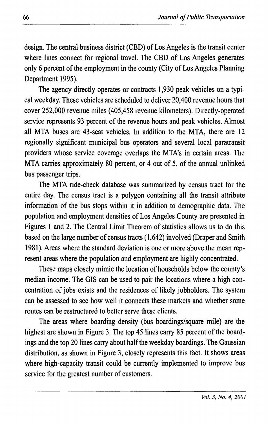design. The central business district (CBD) of Los Angeles is the transit center where lines connect for regional travel. The CBD of Los Angeles generates only 6 percent of the employment in the county (City of Los Angeles Planning Department 1995).

The agency directly operates or contracts 1,930 peak vehicles on a typical weekday. These vehicles are scheduled to deliver 20,400 revenue hours that cover 252,000 revenue miles (405,458 revenue kilometers). Directly-operated service represents 93 percent of the revenue hours and peak vehicles. Almost all MTA buses are 43-seat vehicles. In addition to the MTA, there are 12 regionally significant municipal bus operators and several local paratransit providers whose service coverage overlaps the MTA's in certain areas. The MTA carries approximately 80 percent, or 4 out of 5, of the annual unlinked bus passenger trips.

The MTA ride-check database was summarized by census tract for the entire day. The census tract is a polygon containing all the transit attribute information of the bus stops within it in addition to demographic data. The population and employment densities of Los Angeles County are presented in Figures 1 and 2. The Central Limit Theorem of statistics allows us to do this based on the large number of census tracts (1,642) involved (Draper and Smith 1981). Areas where the standard deviation is one or more above the mean represent areas where the population and employment are highly concentrated.

These maps closely mimic the location of households below the county's median income. The GIS can be used to pair the locations where a high concentration of jobs exists and the residences of likely jobholders. The system can be assessed to see how well it connects these markets and whether some routes can be restructured to better serve these clients.

The areas where boarding density (bus boardings/square mile) are the highest are shown in Figure 3. The top 45 lines carry 85 percent of the boardings and the top 20 lines carry about half the weekday boardings. The Gaussian distribution, as shown in Figure 3, closely represents this fact. It shows areas where high-capacity transit could be currently implemented to improve bus service for the greatest number of customers.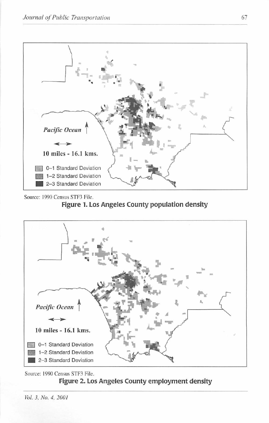

Source: 1990 Census STF3 File. **Figure 1. Los Angeles County population density** 



Source: 1990 Census STF3 File. **Figure 2. Los Angeles County employment density** 

Vol. *3.* No. 4, 200 I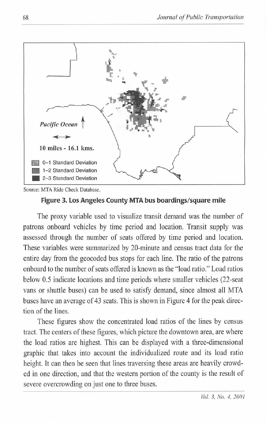

Source: MTA Ride Check Database.

### **Figure 3. Los Angeles County MTA bus boardings/square mile**

The proxy variable used to visualize transit demand was the number of patrons onboard vehicles by time period and location. Transit supply was assessed through the number of seats offered by time period and location. These variables were summarized by 20-minute and census tract data for the entire day from the geocoded bus stops for each line. The ratio of the patrons onboard to the number of seats offered is known as the "load ratio." Load ratios below 0.5 indicate locations and time periods where smaller vehicles (22-seat vans or shuttle buses) can be used to satisfy demand, since almost all MTA buses have an average of 43 seats. This is shown in Figure 4 for the peak direction of the lines.

These figures show the concentrated load ratios of the lines by census tract. The centers of these figures, which picture the downtown area, are where the load ratios are highest. This can be displayed with a three-dimensional graphic that takes into account the indjvidualized route and its load ratio height. It can then be seen that lines traversing these areas are heavily crowded in one direction, and that the western portion of the county is the result of severe overcrowding on just one to three buses.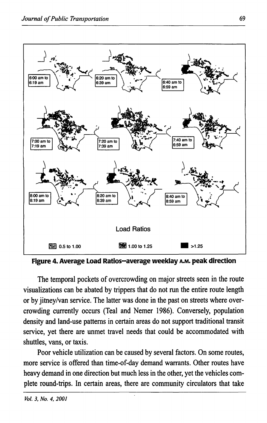

**Figure 4. Average Load Ratios-average weeklay A.M. peak direction** 

The temporal pockets of overcrowding on major streets seen in the route visualizations can be abated by trippers that do not run the entire route length or by jitney/van service. The latter was done in the past on streets where overcrowding currently occurs (Teal and Nemer 1986). Conversely, population density and land-use patterns in certain areas do not support traditional transit service, yet there are unmet travel needs that could be accommodated with shuttles, vans, or taxis.

Poor vehicle utilization can be caused by several factors. On some routes, more service is offered than time-of-day demand warrants. Other routes have heavy demand in one direction but much less in the other, yet the vehicles complete round-trips. In certain areas, there are community circulators that take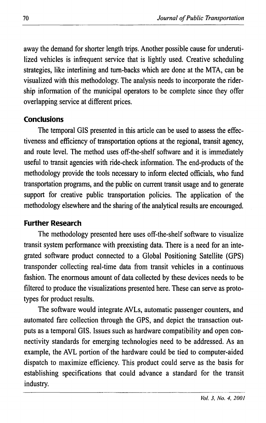away the demand for shorter length trips. Another possible cause for underutilized vehicles is infrequent service that is lightly used. Creative scheduling strategies, like interlining and tum-backs which are done at the MTA, can be visualized with this methodology. The analysis needs to incorporate the ridership information of the municipal operators to be complete since they offer overlapping service at different prices.

#### **Conclusions**

The temporal GIS presented in this article can be used to assess the effectiveness and efficiency of transportation options at the regional, transit agency, and route level. The method uses off-the-shelf software and it is immediately useful to transit agencies with ride-check information. The end-products of the methodology provide the tools necessary to inform elected officials, who fund transportation programs, and the public on current transit usage and to generate support for creative public transportation policies. The application of the methodology elsewhere and the sharing of the analytical results are encouraged.

#### **Further Research**

The methodology presented here uses off-the-shelf software to visualize transit system performance with preexisting data. There is a need for an integrated software product connected to a Global Positioning Satellite (GPS) transponder collecting real-time data from transit vehicles in a continuous fashion. The enormous amount of data collected by these devices needs to be filtered to produce the visualizations presented here. These can serve as prototypes for product results.

The software would integrate AVLs, automatic passenger counters, and automated fare collection through the GPS, and depict the transaction outputs as a temporal GIS. Issues such as hardware compatibility and open connectivity standards for emerging technologies need to be addressed. As an example, the AVL portion of the hardware could be tied to computer-aided dispatch to maximize efficiency. This product could serve as the basis for establishing specifications that could advance a standard for the transit industry.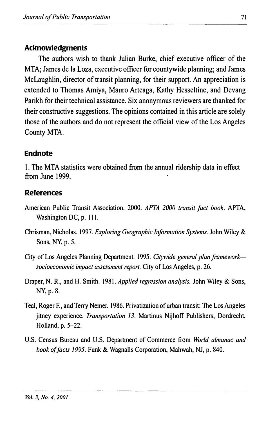# **Acknowledgments**

The authors wish to thank Julian Burke, chief executive officer of the MTA; James de la Loza, executive officer for countywide planning; and James McLaughlin, director of transit planning, for their support. An appreciation is extended to Thomas Amiya, Mauro Arteaga, Kathy Hesseltine, and Devang Parikh for their technical assistance. Six anonymous reviewers are thanked for their constructive suggestions. The opinions contained in this article are solely those of the authors and do not represent the official view of the Los Angeles County MTA.

## **Endnote**

1. The MTA statistics were obtained from the annual ridership data in effect from June 1999.

## **References**

- American Public Transit Association. 2000. *APTA 2000 transit fact book.* APTA, Washington DC, p. 111.
- Chrisman, Nicholas. 1997. *Exploring Geographic Information Systems.* John Wiley & Sons, NY, p. 5.
- City of Los Angeles Planning Department. 1995. *Citywide general plan frameworksocioeconomic impact assessment report.* City of Los Angeles, p. 26.
- Draper, N. R., and H. Smith. 1981. *Applied regression analysis.* John Wiley & Sons, NY,p.8.
- Teal, Roger F., and Terry Nemer. 1986. Privatization of urban transit: The Los Angeles jitney experience. *Transportation 13.* Martinus Nijhoff Publishers, Dordrecht, Holland, p. 5-22.
- U.S. Census Bureau and U.S. Department of Commerce from *World almanac and book of facts 1995.* Funk & Wagnalls Corporation, Mahwah, NJ, p. 840.